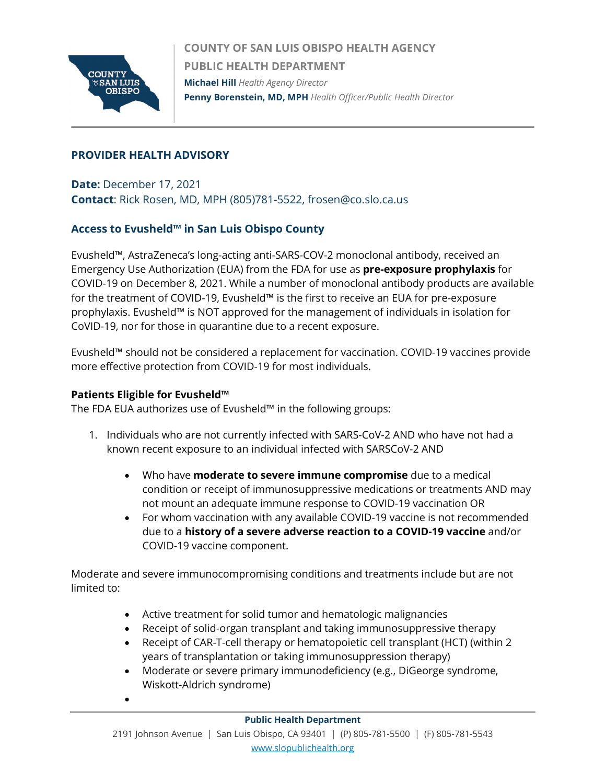

**COUNTY OF SAN LUIS OBISPO HEALTH AGENCY PUBLIC HEALTH DEPARTMENT Michael Hill** *Health Agency Director* **Penny Borenstein, MD, MPH** *Health Officer/Public Health Director*

# **PROVIDER HEALTH ADVISORY**

**Date:** December 17, 2021 **Contact**: Rick Rosen, MD, MPH (805)781-5522, frosen@co.slo.ca.us

# **Access to Evusheld™ in San Luis Obispo County**

Evusheld™, AstraZeneca's long-acting anti-SARS-COV-2 monoclonal antibody, received an Emergency Use Authorization (EUA) from the FDA for use as **pre-exposure prophylaxis** for COVID-19 on December 8, 2021. While a number of monoclonal antibody products are available for the treatment of COVID-19, Evusheld™ is the first to receive an EUA for pre-exposure prophylaxis. Evusheld™ is NOT approved for the management of individuals in isolation for CoVID-19, nor for those in quarantine due to a recent exposure.

Evusheld™ should not be considered a replacement for vaccination. COVID-19 vaccines provide more effective protection from COVID-19 for most individuals.

### **Patients Eligible for Evusheld™**

•

The FDA EUA authorizes use of Evusheld™ in the following groups:

- 1. Individuals who are not currently infected with SARS-CoV-2 AND who have not had a known recent exposure to an individual infected with SARSCoV-2 AND
	- Who have **moderate to severe immune compromise** due to a medical condition or receipt of immunosuppressive medications or treatments AND may not mount an adequate immune response to COVID-19 vaccination OR
	- For whom vaccination with any available COVID-19 vaccine is not recommended due to a **history of a severe adverse reaction to a COVID-19 vaccine** and/or COVID-19 vaccine component.

Moderate and severe immunocompromising conditions and treatments include but are not limited to:

- Active treatment for solid tumor and hematologic malignancies
- Receipt of solid-organ transplant and taking immunosuppressive therapy
- Receipt of CAR-T-cell therapy or hematopoietic cell transplant (HCT) (within 2 years of transplantation or taking immunosuppression therapy)
- Moderate or severe primary immunodeficiency (e.g., DiGeorge syndrome, Wiskott-Aldrich syndrome)

#### **Public Health Department**